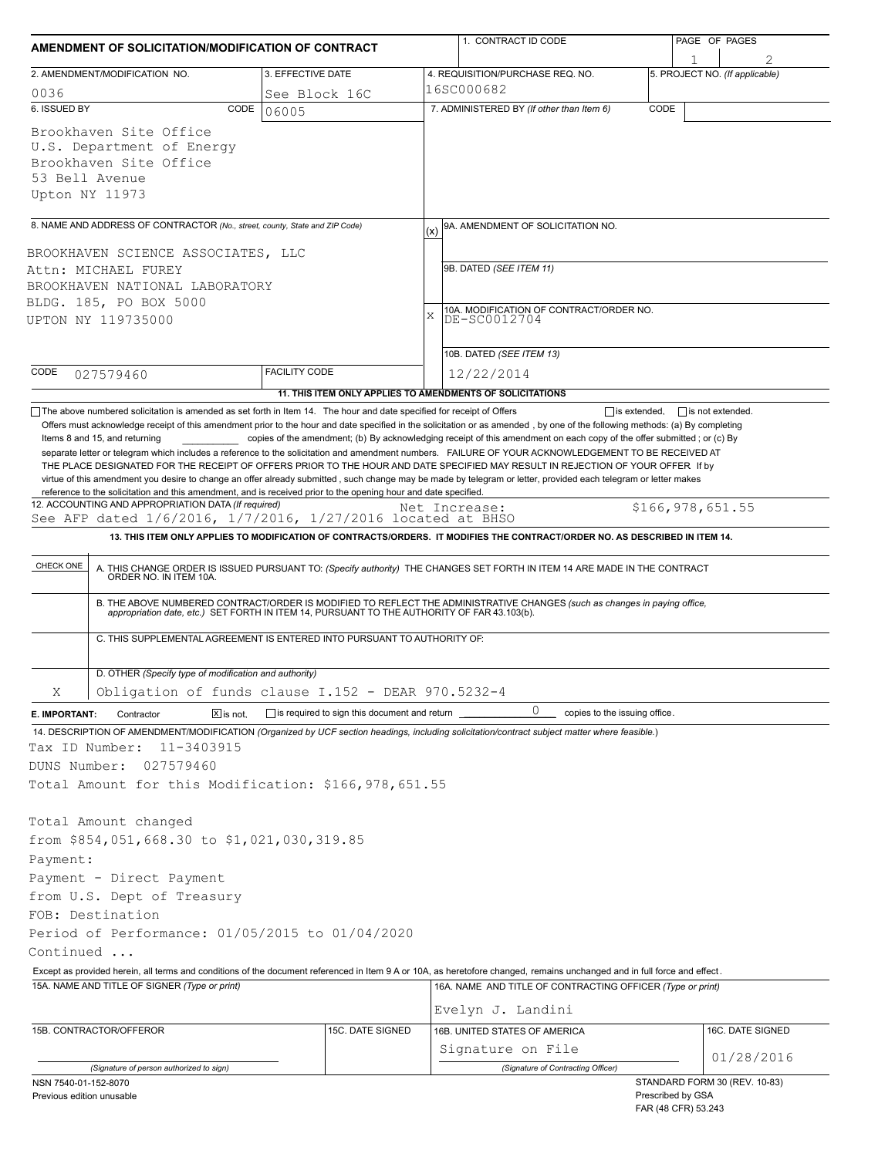| AMENDMENT OF SOLICITATION/MODIFICATION OF CONTRACT                                                                                                                                                                                                                                                                             |                                              |                  | 1. CONTRACT ID CODE                                                                                                                                                                                                                                                                                                                                                                                                                                                                                                          |                                          | PAGE OF PAGES    |  |
|--------------------------------------------------------------------------------------------------------------------------------------------------------------------------------------------------------------------------------------------------------------------------------------------------------------------------------|----------------------------------------------|------------------|------------------------------------------------------------------------------------------------------------------------------------------------------------------------------------------------------------------------------------------------------------------------------------------------------------------------------------------------------------------------------------------------------------------------------------------------------------------------------------------------------------------------------|------------------------------------------|------------------|--|
| 2. AMENDMENT/MODIFICATION NO.                                                                                                                                                                                                                                                                                                  | 3. EFFECTIVE DATE                            |                  | 4. REQUISITION/PURCHASE REQ. NO.                                                                                                                                                                                                                                                                                                                                                                                                                                                                                             | 5. PROJECT NO. (If applicable)           |                  |  |
| 0036<br>See Block 16C                                                                                                                                                                                                                                                                                                          |                                              |                  | 16SC000682                                                                                                                                                                                                                                                                                                                                                                                                                                                                                                                   |                                          |                  |  |
| 6. ISSUED BY                                                                                                                                                                                                                                                                                                                   | CODE<br>06005                                |                  | 7. ADMINISTERED BY (If other than Item 6)                                                                                                                                                                                                                                                                                                                                                                                                                                                                                    | CODE                                     |                  |  |
| Brookhaven Site Office<br>U.S. Department of Energy<br>Brookhaven Site Office<br>53 Bell Avenue<br>Upton NY 11973                                                                                                                                                                                                              |                                              |                  |                                                                                                                                                                                                                                                                                                                                                                                                                                                                                                                              |                                          |                  |  |
| 8. NAME AND ADDRESS OF CONTRACTOR (No., street, county, State and ZIP Code)                                                                                                                                                                                                                                                    |                                              |                  | 9A. AMENDMENT OF SOLICITATION NO.<br>(x)                                                                                                                                                                                                                                                                                                                                                                                                                                                                                     |                                          |                  |  |
| BROOKHAVEN SCIENCE ASSOCIATES, LLC<br>Attn: MICHAEL FUREY<br>BROOKHAVEN NATIONAL LABORATORY<br>BLDG. 185, PO BOX 5000<br>UPTON NY 119735000                                                                                                                                                                                    |                                              |                  | 9B. DATED (SEE ITEM 11)<br>10A. MODIFICATION OF CONTRACT/ORDER NO.<br>X<br>DE-SC0012704                                                                                                                                                                                                                                                                                                                                                                                                                                      |                                          |                  |  |
| CODE                                                                                                                                                                                                                                                                                                                           | <b>FACILITY CODE</b>                         |                  | 10B. DATED (SEE ITEM 13)                                                                                                                                                                                                                                                                                                                                                                                                                                                                                                     |                                          |                  |  |
| 027579460                                                                                                                                                                                                                                                                                                                      |                                              |                  | 12/22/2014<br>11. THIS ITEM ONLY APPLIES TO AMENDMENTS OF SOLICITATIONS                                                                                                                                                                                                                                                                                                                                                                                                                                                      |                                          |                  |  |
| reference to the solicitation and this amendment, and is received prior to the opening hour and date specified.<br>12. ACCOUNTING AND APPROPRIATION DATA (If required)<br>See AFP dated 1/6/2016, 1/7/2016, 1/27/2016 located at BHSO<br>CHECK ONE<br>C. THIS SUPPLEMENTAL AGREEMENT IS ENTERED INTO PURSUANT TO AUTHORITY OF: |                                              |                  | Net Increase:<br>13. THIS ITEM ONLY APPLIES TO MODIFICATION OF CONTRACTS/ORDERS. IT MODIFIES THE CONTRACT/ORDER NO. AS DESCRIBED IN ITEM 14.<br>A. THIS CHANGE ORDER IS ISSUED PURSUANT TO: (Specify authority) THE CHANGES SET FORTH IN ITEM 14 ARE MADE IN THE CONTRACT ORDER NO. IN ITEM 10A.<br>B. THE ABOVE NUMBERED CONTRACT/ORDER IS MODIFIED TO REFLECT THE ADMINISTRATIVE CHANGES (such as changes in paying office,<br>appropriation date, etc.) SET FORTH IN ITEM 14, PURSUANT TO THE AUTHORITY OF FAR 43.103(b). | \$166,978,651.55                         |                  |  |
|                                                                                                                                                                                                                                                                                                                                |                                              |                  |                                                                                                                                                                                                                                                                                                                                                                                                                                                                                                                              |                                          |                  |  |
| D. OTHER (Specify type of modification and authority)<br>Obligation of funds clause I.152 - DEAR 970.5232-4<br>Χ                                                                                                                                                                                                               |                                              |                  |                                                                                                                                                                                                                                                                                                                                                                                                                                                                                                                              |                                          |                  |  |
| Contractor<br>$X$ is not.                                                                                                                                                                                                                                                                                                      | is required to sign this document and return |                  | 0<br>copies to the issuing office.                                                                                                                                                                                                                                                                                                                                                                                                                                                                                           |                                          |                  |  |
| E. IMPORTANT:<br>14. DESCRIPTION OF AMENDMENT/MODIFICATION (Organized by UCF section headings, including solicitation/contract subject matter where feasible.)                                                                                                                                                                 |                                              |                  |                                                                                                                                                                                                                                                                                                                                                                                                                                                                                                                              |                                          |                  |  |
| Tax ID Number:<br>11-3403915                                                                                                                                                                                                                                                                                                   |                                              |                  |                                                                                                                                                                                                                                                                                                                                                                                                                                                                                                                              |                                          |                  |  |
| DUNS Number:<br>027579460                                                                                                                                                                                                                                                                                                      |                                              |                  |                                                                                                                                                                                                                                                                                                                                                                                                                                                                                                                              |                                          |                  |  |
| Total Amount for this Modification: \$166,978,651.55                                                                                                                                                                                                                                                                           |                                              |                  |                                                                                                                                                                                                                                                                                                                                                                                                                                                                                                                              |                                          |                  |  |
| Total Amount changed<br>from \$854,051,668.30 to \$1,021,030,319.85<br>Payment:<br>Payment - Direct Payment<br>from U.S. Dept of Treasury<br>FOB: Destination<br>Period of Performance: 01/05/2015 to 01/04/2020<br>Continued                                                                                                  |                                              |                  |                                                                                                                                                                                                                                                                                                                                                                                                                                                                                                                              |                                          |                  |  |
| Except as provided herein, all terms and conditions of the document referenced in Item 9 A or 10A, as heretofore changed, remains unchanged and in full force and effect.                                                                                                                                                      |                                              |                  |                                                                                                                                                                                                                                                                                                                                                                                                                                                                                                                              |                                          |                  |  |
| 15A. NAME AND TITLE OF SIGNER (Type or print)                                                                                                                                                                                                                                                                                  |                                              |                  | 16A. NAME AND TITLE OF CONTRACTING OFFICER (Type or print)                                                                                                                                                                                                                                                                                                                                                                                                                                                                   |                                          |                  |  |
|                                                                                                                                                                                                                                                                                                                                |                                              |                  | Evelyn J. Landini                                                                                                                                                                                                                                                                                                                                                                                                                                                                                                            |                                          |                  |  |
| 15B. CONTRACTOR/OFFEROR                                                                                                                                                                                                                                                                                                        |                                              | 15C. DATE SIGNED | 16B. UNITED STATES OF AMERICA<br>Signature on File                                                                                                                                                                                                                                                                                                                                                                                                                                                                           |                                          | 16C. DATE SIGNED |  |
| (Signature of person authorized to sign)                                                                                                                                                                                                                                                                                       |                                              |                  | (Signature of Contracting Officer)                                                                                                                                                                                                                                                                                                                                                                                                                                                                                           |                                          | 01/28/2016       |  |
| NSN 7540-01-152-8070                                                                                                                                                                                                                                                                                                           |                                              |                  |                                                                                                                                                                                                                                                                                                                                                                                                                                                                                                                              | STANDARD FORM 30 (REV. 10-83)            |                  |  |
| Previous edition unusable                                                                                                                                                                                                                                                                                                      |                                              |                  |                                                                                                                                                                                                                                                                                                                                                                                                                                                                                                                              | Prescribed by GSA<br>FAR (48 CFR) 53.243 |                  |  |